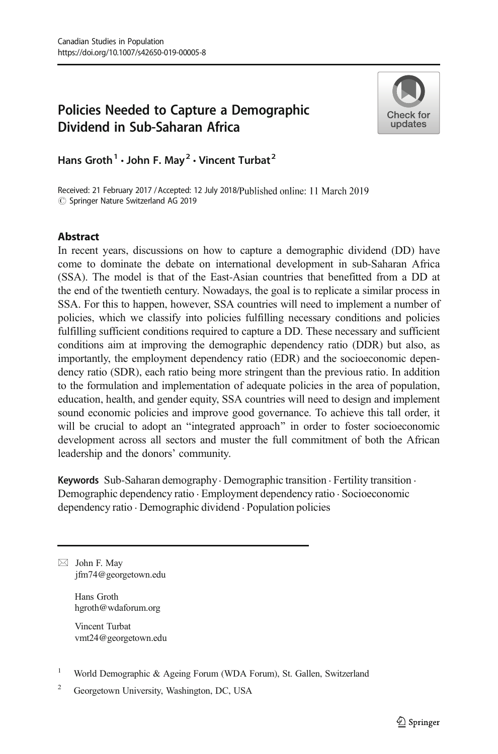# Policies Needed to Capture a Demographic Dividend in Sub-Saharan Africa



Hans Groth<sup>1</sup>  $\cdot$  John F. May<sup>2</sup>  $\cdot$  Vincent Turbat<sup>2</sup>

Received: 21 February 2017 / Accepted: 12 July 2018/Published online: 11 March 2019  $\circledcirc$  Springer Nature Switzerland AG 2019

# **Abstract**

In recent years, discussions on how to capture a demographic dividend (DD) have come to dominate the debate on international development in sub-Saharan Africa (SSA). The model is that of the East-Asian countries that benefitted from a DD at the end of the twentieth century. Nowadays, the goal is to replicate a similar process in SSA. For this to happen, however, SSA countries will need to implement a number of policies, which we classify into policies fulfilling necessary conditions and policies fulfilling sufficient conditions required to capture a DD. These necessary and sufficient conditions aim at improving the demographic dependency ratio (DDR) but also, as importantly, the employment dependency ratio (EDR) and the socioeconomic dependency ratio (SDR), each ratio being more stringent than the previous ratio. In addition to the formulation and implementation of adequate policies in the area of population, education, health, and gender equity, SSA countries will need to design and implement sound economic policies and improve good governance. To achieve this tall order, it will be crucial to adopt an "integrated approach" in order to foster socioeconomic development across all sectors and muster the full commitment of both the African leadership and the donors' community.

Keywords Sub-Saharan demography · Demographic transition · Fertility transition · Demographic dependency ratio . Employment dependency ratio . Socioeconomic dependency ratio . Demographic dividend . Population policies

 $\boxtimes$  John F. May [jfm74@georgetown.edu](mailto:jfm74@georgetown.edu)

> Hans Groth hgroth@wdaforum.org

Vincent Turbat vmt24@georgetown.edu

- <sup>1</sup> World Demographic & Ageing Forum (WDA Forum), St. Gallen, Switzerland
- <sup>2</sup> Georgetown University, Washington, DC, USA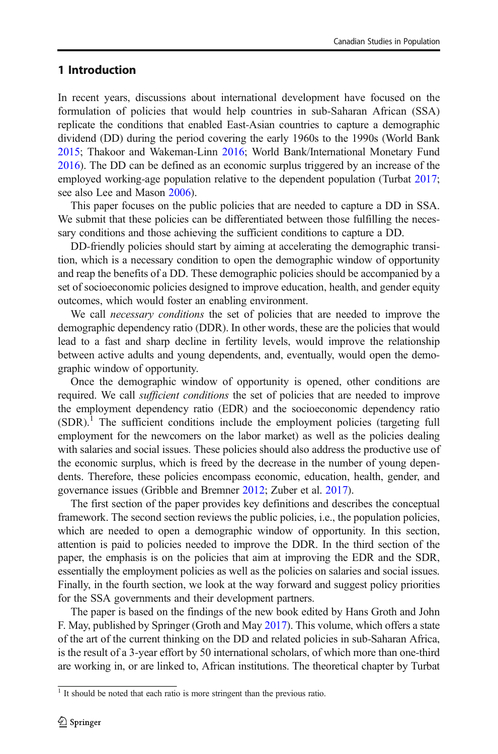# <span id="page-1-0"></span>1 Introduction

In recent years, discussions about international development have focused on the formulation of policies that would help countries in sub-Saharan African (SSA) replicate the conditions that enabled East-Asian countries to capture a demographic dividend (DD) during the period covering the early 1960s to the 1990s (World Bank [2015;](#page-11-0) Thakoor and Wakeman-Linn [2016;](#page-11-0) World Bank/International Monetary Fund [2016\)](#page-11-0). The DD can be defined as an economic surplus triggered by an increase of the employed working-age population relative to the dependent population (Turbat [2017;](#page-11-0) see also Lee and Mason [2006](#page-11-0)).

This paper focuses on the public policies that are needed to capture a DD in SSA. We submit that these policies can be differentiated between those fulfilling the necessary conditions and those achieving the sufficient conditions to capture a DD.

DD-friendly policies should start by aiming at accelerating the demographic transition, which is a necessary condition to open the demographic window of opportunity and reap the benefits of a DD. These demographic policies should be accompanied by a set of socioeconomic policies designed to improve education, health, and gender equity outcomes, which would foster an enabling environment.

We call necessary conditions the set of policies that are needed to improve the demographic dependency ratio (DDR). In other words, these are the policies that would lead to a fast and sharp decline in fertility levels, would improve the relationship between active adults and young dependents, and, eventually, would open the demographic window of opportunity.

Once the demographic window of opportunity is opened, other conditions are required. We call *sufficient conditions* the set of policies that are needed to improve the employment dependency ratio (EDR) and the socioeconomic dependency ratio  $(SDR).$ <sup>1</sup> The sufficient conditions include the employment policies (targeting full employment for the newcomers on the labor market) as well as the policies dealing with salaries and social issues. These policies should also address the productive use of the economic surplus, which is freed by the decrease in the number of young dependents. Therefore, these policies encompass economic, education, health, gender, and governance issues (Gribble and Bremner [2012;](#page-11-0) Zuber et al. [2017\)](#page-11-0).

The first section of the paper provides key definitions and describes the conceptual framework. The second section reviews the public policies, i.e., the population policies, which are needed to open a demographic window of opportunity. In this section, attention is paid to policies needed to improve the DDR. In the third section of the paper, the emphasis is on the policies that aim at improving the EDR and the SDR, essentially the employment policies as well as the policies on salaries and social issues. Finally, in the fourth section, we look at the way forward and suggest policy priorities for the SSA governments and their development partners.

The paper is based on the findings of the new book edited by Hans Groth and John F. May, published by Springer (Groth and May [2017](#page-11-0)). This volume, which offers a state of the art of the current thinking on the DD and related policies in sub-Saharan Africa, is the result of a 3-year effort by 50 international scholars, of which more than one-third are working in, or are linked to, African institutions. The theoretical chapter by Turbat

<sup>&</sup>lt;sup>1</sup> It should be noted that each ratio is more stringent than the previous ratio.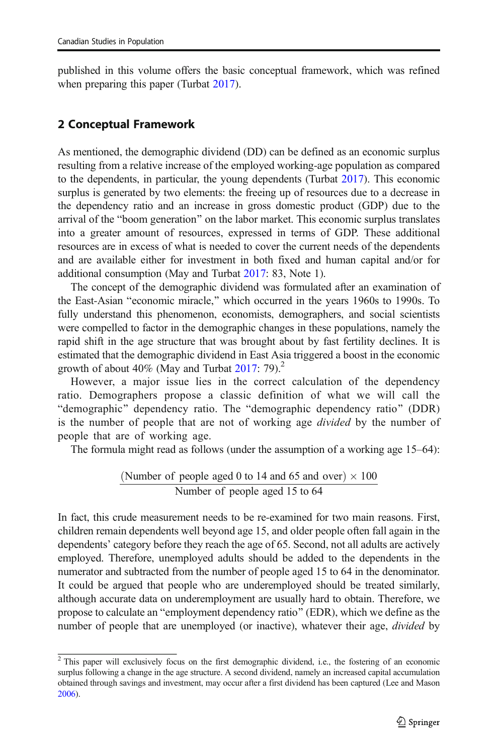published in this volume offers the basic conceptual framework, which was refined when preparing this paper (Turbat [2017](#page-11-0)).

# 2 Conceptual Framework

As mentioned, the demographic dividend (DD) can be defined as an economic surplus resulting from a relative increase of the employed working-age population as compared to the dependents, in particular, the young dependents (Turbat [2017](#page-11-0)). This economic surplus is generated by two elements: the freeing up of resources due to a decrease in the dependency ratio and an increase in gross domestic product (GDP) due to the arrival of the "boom generation" on the labor market. This economic surplus translates into a greater amount of resources, expressed in terms of GDP. These additional resources are in excess of what is needed to cover the current needs of the dependents and are available either for investment in both fixed and human capital and/or for additional consumption (May and Turbat [2017:](#page-11-0) 83, Note 1).

The concept of the demographic dividend was formulated after an examination of the East-Asian "economic miracle," which occurred in the years 1960s to 1990s. To fully understand this phenomenon, economists, demographers, and social scientists were compelled to factor in the demographic changes in these populations, namely the rapid shift in the age structure that was brought about by fast fertility declines. It is estimated that the demographic dividend in East Asia triggered a boost in the economic growth of about 40% (May and Turbat  $2017:79$  $2017:79$ ).<sup>2</sup>

However, a major issue lies in the correct calculation of the dependency ratio. Demographers propose a classic definition of what we will call the "demographic" dependency ratio. The "demographic dependency ratio" (DDR) is the number of people that are not of working age divided by the number of people that are of working age.

The formula might read as follows (under the assumption of a working age 15–64):

(Number of people aged 0 to 14 and 65 and over) 
$$
\times
$$
 100  
\nNumber of people aged 15 to 64

In fact, this crude measurement needs to be re-examined for two main reasons. First, children remain dependents well beyond age 15, and older people often fall again in the dependents' category before they reach the age of 65. Second, not all adults are actively employed. Therefore, unemployed adults should be added to the dependents in the numerator and subtracted from the number of people aged 15 to 64 in the denominator. It could be argued that people who are underemployed should be treated similarly, although accurate data on underemployment are usually hard to obtain. Therefore, we propose to calculate an "employment dependency ratio" (EDR), which we define as the number of people that are unemployed (or inactive), whatever their age, *divided* by

<sup>&</sup>lt;sup>2</sup> This paper will exclusively focus on the first demographic dividend, i.e., the fostering of an economic surplus following a change in the age structure. A second dividend, namely an increased capital accumulation obtained through savings and investment, may occur after a first dividend has been captured (Lee and Mason [2006\)](#page-11-0).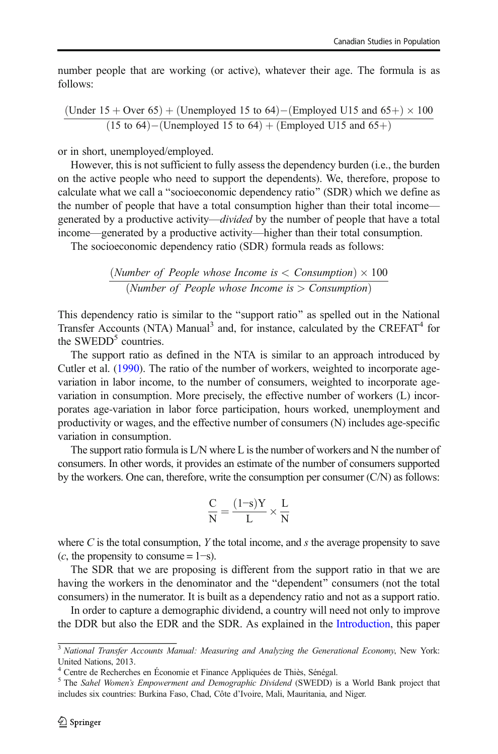number people that are working (or active), whatever their age. The formula is as follows:

$$
\frac{(Under 15 + Over 65) + (Unemployed 15 to 64) - (Employee U15 and 65+) \times 100}{(15 to 64) - (Unemployed 15 to 64) + (Employee U15 and 65+)}
$$

or in short, unemployed/employed.

However, this is not sufficient to fully assess the dependency burden (i.e., the burden on the active people who need to support the dependents). We, therefore, propose to calculate what we call a "socioeconomic dependency ratio" (SDR) which we define as the number of people that have a total consumption higher than their total income generated by a productive activity—divided by the number of people that have a total income—generated by a productive activity—higher than their total consumption.

The socioeconomic dependency ratio (SDR) formula reads as follows:

$$
\frac{(Number of People whose Income is < Consumption) \times 100}{(Number of People whose Income is > Consumption)}
$$

This dependency ratio is similar to the "support ratio" as spelled out in the National Transfer Accounts (NTA) Manual<sup>3</sup> and, for instance, calculated by the CREFAT<sup>4</sup> for the SWEDD<sup>5</sup> countries.

The support ratio as defined in the NTA is similar to an approach introduced by Cutler et al. [\(1990\)](#page-11-0). The ratio of the number of workers, weighted to incorporate agevariation in labor income, to the number of consumers, weighted to incorporate agevariation in consumption. More precisely, the effective number of workers (L) incorporates age-variation in labor force participation, hours worked, unemployment and productivity or wages, and the effective number of consumers (N) includes age-specific variation in consumption.

The support ratio formula is L/N where L is the number of workers and N the number of consumers. In other words, it provides an estimate of the number of consumers supported by the workers. One can, therefore, write the consumption per consumer (C/N) as follows:

$$
\frac{C}{N} = \frac{(1\text{--}s)Y}{L} \times \frac{L}{N}
$$

where  $C$  is the total consumption,  $Y$  the total income, and  $s$  the average propensity to save  $(c,$  the propensity to consume = 1–s).

The SDR that we are proposing is different from the support ratio in that we are having the workers in the denominator and the "dependent" consumers (not the total consumers) in the numerator. It is built as a dependency ratio and not as a support ratio.

In order to capture a demographic dividend, a country will need not only to improve the DDR but also the EDR and the SDR. As explained in the [Introduction,](#page-1-0) this paper

<sup>&</sup>lt;sup>3</sup> National Transfer Accounts Manual: Measuring and Analyzing the Generational Economy, New York: United Nations, 2013.

<sup>4</sup> Centre de Recherches en Économie et Finance Appliquées de Thiès, Sénégal.

<sup>&</sup>lt;sup>5</sup> The Sahel Women's Empowerment and Demographic Dividend (SWEDD) is a World Bank project that includes six countries: Burkina Faso, Chad, Côte d'Ivoire, Mali, Mauritania, and Niger.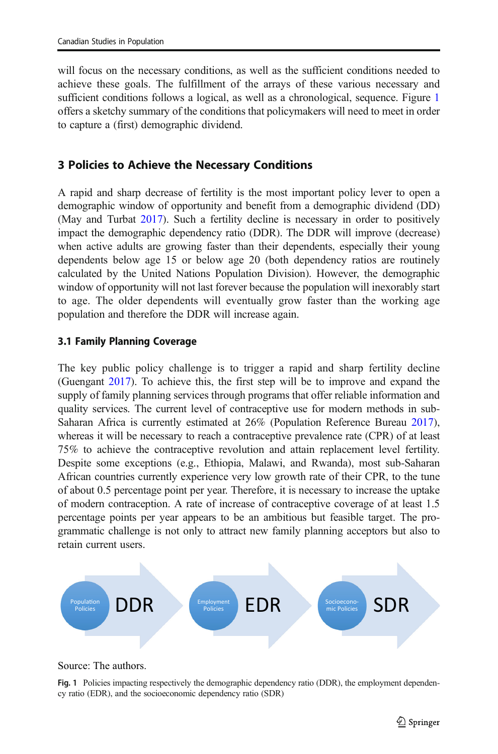will focus on the necessary conditions, as well as the sufficient conditions needed to achieve these goals. The fulfillment of the arrays of these various necessary and sufficient conditions follows a logical, as well as a chronological, sequence. Figure 1 offers a sketchy summary of the conditions that policymakers will need to meet in order to capture a (first) demographic dividend.

# 3 Policies to Achieve the Necessary Conditions

A rapid and sharp decrease of fertility is the most important policy lever to open a demographic window of opportunity and benefit from a demographic dividend (DD) (May and Turbat [2017\)](#page-11-0). Such a fertility decline is necessary in order to positively impact the demographic dependency ratio (DDR). The DDR will improve (decrease) when active adults are growing faster than their dependents, especially their young dependents below age 15 or below age 20 (both dependency ratios are routinely calculated by the United Nations Population Division). However, the demographic window of opportunity will not last forever because the population will inexorably start to age. The older dependents will eventually grow faster than the working age population and therefore the DDR will increase again.

## 3.1 Family Planning Coverage

The key public policy challenge is to trigger a rapid and sharp fertility decline (Guengant [2017](#page-11-0)). To achieve this, the first step will be to improve and expand the supply of family planning services through programs that offer reliable information and quality services. The current level of contraceptive use for modern methods in sub-Saharan Africa is currently estimated at 26% (Population Reference Bureau [2017\)](#page-11-0), whereas it will be necessary to reach a contraceptive prevalence rate (CPR) of at least 75% to achieve the contraceptive revolution and attain replacement level fertility. Despite some exceptions (e.g., Ethiopia, Malawi, and Rwanda), most sub-Saharan African countries currently experience very low growth rate of their CPR, to the tune of about 0.5 percentage point per year. Therefore, it is necessary to increase the uptake of modern contraception. A rate of increase of contraceptive coverage of at least 1.5 percentage points per year appears to be an ambitious but feasible target. The programmatic challenge is not only to attract new family planning acceptors but also to retain current users.



#### Source: The authors.

Fig. 1 Policies impacting respectively the demographic dependency ratio (DDR), the employment dependency ratio (EDR), and the socioeconomic dependency ratio (SDR)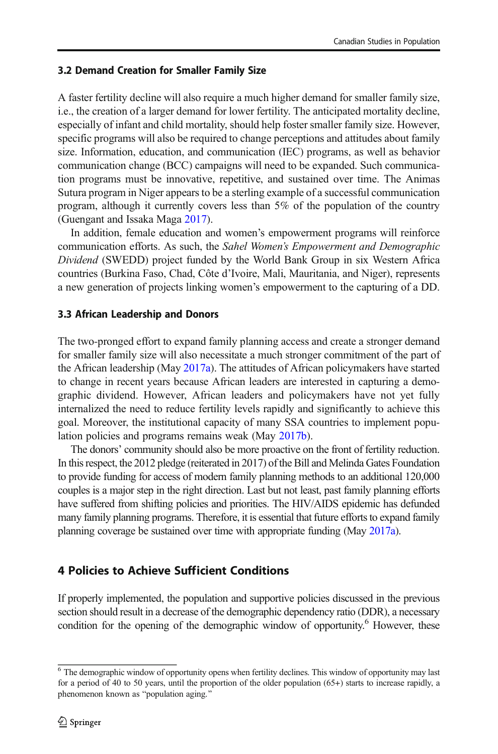## 3.2 Demand Creation for Smaller Family Size

A faster fertility decline will also require a much higher demand for smaller family size, i.e., the creation of a larger demand for lower fertility. The anticipated mortality decline, especially of infant and child mortality, should help foster smaller family size. However, specific programs will also be required to change perceptions and attitudes about family size. Information, education, and communication (IEC) programs, as well as behavior communication change (BCC) campaigns will need to be expanded. Such communication programs must be innovative, repetitive, and sustained over time. The Animas Sutura program in Niger appears to be a sterling example of a successful communication program, although it currently covers less than 5% of the population of the country (Guengant and Issaka Maga [2017](#page-11-0)).

In addition, female education and women's empowerment programs will reinforce communication efforts. As such, the Sahel Women's Empowerment and Demographic Dividend (SWEDD) project funded by the World Bank Group in six Western Africa countries (Burkina Faso, Chad, Côte d'Ivoire, Mali, Mauritania, and Niger), represents a new generation of projects linking women's empowerment to the capturing of a DD.

## 3.3 African Leadership and Donors

The two-pronged effort to expand family planning access and create a stronger demand for smaller family size will also necessitate a much stronger commitment of the part of the African leadership (May [2017a\)](#page-11-0). The attitudes of African policymakers have started to change in recent years because African leaders are interested in capturing a demographic dividend. However, African leaders and policymakers have not yet fully internalized the need to reduce fertility levels rapidly and significantly to achieve this goal. Moreover, the institutional capacity of many SSA countries to implement population policies and programs remains weak (May [2017b\)](#page-11-0).

The donors' community should also be more proactive on the front of fertility reduction. In this respect, the 2012 pledge (reiterated in 2017) of the Bill and Melinda Gates Foundation to provide funding for access of modern family planning methods to an additional 120,000 couples is a major step in the right direction. Last but not least, past family planning efforts have suffered from shifting policies and priorities. The HIV/AIDS epidemic has defunded many family planning programs. Therefore, it is essential that future efforts to expand family planning coverage be sustained over time with appropriate funding (May [2017a\)](#page-11-0).

# 4 Policies to Achieve Sufficient Conditions

If properly implemented, the population and supportive policies discussed in the previous section should result in a decrease of the demographic dependency ratio (DDR), a necessary condition for the opening of the demographic window of opportunity.<sup>6</sup> However, these

 $6$  The demographic window of opportunity opens when fertility declines. This window of opportunity may last for a period of 40 to 50 years, until the proportion of the older population (65+) starts to increase rapidly, a phenomenon known as "population aging."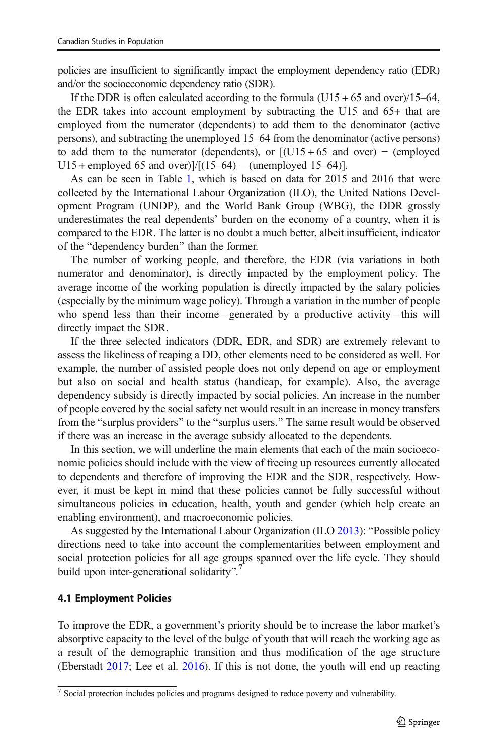policies are insufficient to significantly impact the employment dependency ratio (EDR) and/or the socioeconomic dependency ratio (SDR).

If the DDR is often calculated according to the formula  $(U15 + 65$  and over)/15–64, the EDR takes into account employment by subtracting the U15 and 65+ that are employed from the numerator (dependents) to add them to the denominator (active persons), and subtracting the unemployed 15–64 from the denominator (active persons) to add them to the numerator (dependents), or  $[(U15 + 65 \text{ and over}) - (employed$ U15 + employed 65 and over) $\frac{1}{10}(15-64)$  – (unemployed 15–64).

As can be seen in Table [1](#page-7-0), which is based on data for 2015 and 2016 that were collected by the International Labour Organization (ILO), the United Nations Development Program (UNDP), and the World Bank Group (WBG), the DDR grossly underestimates the real dependents' burden on the economy of a country, when it is compared to the EDR. The latter is no doubt a much better, albeit insufficient, indicator of the "dependency burden" than the former.

The number of working people, and therefore, the EDR (via variations in both numerator and denominator), is directly impacted by the employment policy. The average income of the working population is directly impacted by the salary policies (especially by the minimum wage policy). Through a variation in the number of people who spend less than their income—generated by a productive activity—this will directly impact the SDR.

If the three selected indicators (DDR, EDR, and SDR) are extremely relevant to assess the likeliness of reaping a DD, other elements need to be considered as well. For example, the number of assisted people does not only depend on age or employment but also on social and health status (handicap, for example). Also, the average dependency subsidy is directly impacted by social policies. An increase in the number of people covered by the social safety net would result in an increase in money transfers from the "surplus providers" to the "surplus users." The same result would be observed if there was an increase in the average subsidy allocated to the dependents.

In this section, we will underline the main elements that each of the main socioeconomic policies should include with the view of freeing up resources currently allocated to dependents and therefore of improving the EDR and the SDR, respectively. However, it must be kept in mind that these policies cannot be fully successful without simultaneous policies in education, health, youth and gender (which help create an enabling environment), and macroeconomic policies.

As suggested by the International Labour Organization (ILO [2013](#page-11-0)): "Possible policy directions need to take into account the complementarities between employment and social protection policies for all age groups spanned over the life cycle. They should build upon inter-generational solidarity".<sup>7</sup>

## 4.1 Employment Policies

To improve the EDR, a government's priority should be to increase the labor market's absorptive capacity to the level of the bulge of youth that will reach the working age as a result of the demographic transition and thus modification of the age structure (Eberstadt [2017;](#page-11-0) Lee et al. [2016](#page-11-0)). If this is not done, the youth will end up reacting

<sup>7</sup> Social protection includes policies and programs designed to reduce poverty and vulnerability.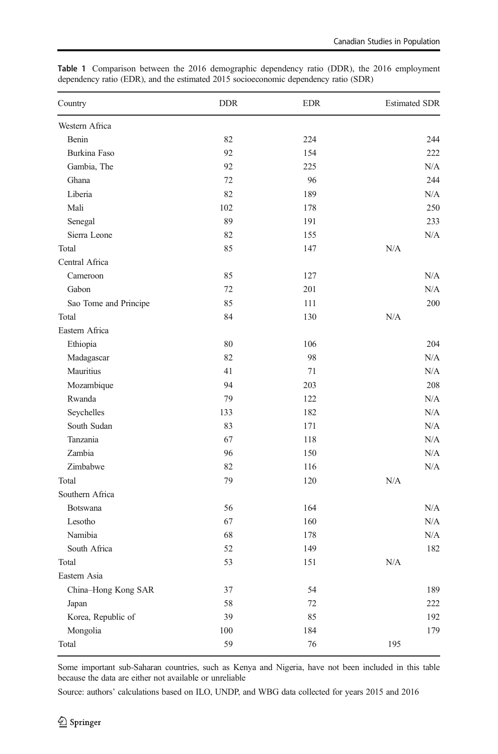| Country               | <b>DDR</b> | <b>EDR</b> | <b>Estimated SDR</b> |
|-----------------------|------------|------------|----------------------|
| Western Africa        |            |            |                      |
| Benin                 | 82         | 224        | 244                  |
| Burkina Faso          | 92         | 154        | 222                  |
| Gambia, The           | 92         | 225        | N/A                  |
| Ghana                 | 72         | 96         | 244                  |
| Liberia               | 82         | 189        | N/A                  |
| Mali                  | 102        | 178        | 250                  |
| Senegal               | 89         | 191        | 233                  |
| Sierra Leone          | 82         | 155        | N/A                  |
| Total                 | 85         | 147        | N/A                  |
| Central Africa        |            |            |                      |
| Cameroon              | 85         | 127        | N/A                  |
| Gabon                 | 72         | 201        | N/A                  |
| Sao Tome and Principe | 85         | 111        | 200                  |
| Total                 | 84         | 130        | N/A                  |
| Eastern Africa        |            |            |                      |
| Ethiopia              | 80         | 106        | 204                  |
| Madagascar            | 82         | 98         | N/A                  |
| Mauritius             | 41         | 71         | N/A                  |
| Mozambique            | 94         | 203        | 208                  |
| Rwanda                | 79         | 122        | N/A                  |
| Seychelles            | 133        | 182        | N/A                  |
| South Sudan           | 83         | 171        | N/A                  |
| Tanzania              | 67         | 118        | N/A                  |
| Zambia                | 96         | 150        | N/A                  |
| Zimbabwe              | 82         | 116        | N/A                  |
| Total                 | 79         | 120        | N/A                  |
| Southern Africa       |            |            |                      |
| Botswana              | 56         | 164        | N/A                  |
| Lesotho               | 67         | 160        | N/A                  |
| Namibia               | 68         | 178        | N/A                  |
| South Africa          | 52         | 149        | 182                  |
| Total                 | 53         | 151        | N/A                  |
| Eastern Asia          |            |            |                      |
| China-Hong Kong SAR   | 37         | 54         | 189                  |
| Japan                 | 58         | 72         | 222                  |
| Korea, Republic of    | 39         | 85         | 192                  |
| Mongolia              | 100        | 184        | 179                  |
| Total                 | 59         | 76         | 195                  |

<span id="page-7-0"></span>Table 1 Comparison between the 2016 demographic dependency ratio (DDR), the 2016 employment dependency ratio (EDR), and the estimated 2015 socioeconomic dependency ratio (SDR)

Some important sub-Saharan countries, such as Kenya and Nigeria, have not been included in this table because the data are either not available or unreliable

Source: authors' calculations based on ILO, UNDP, and WBG data collected for years 2015 and 2016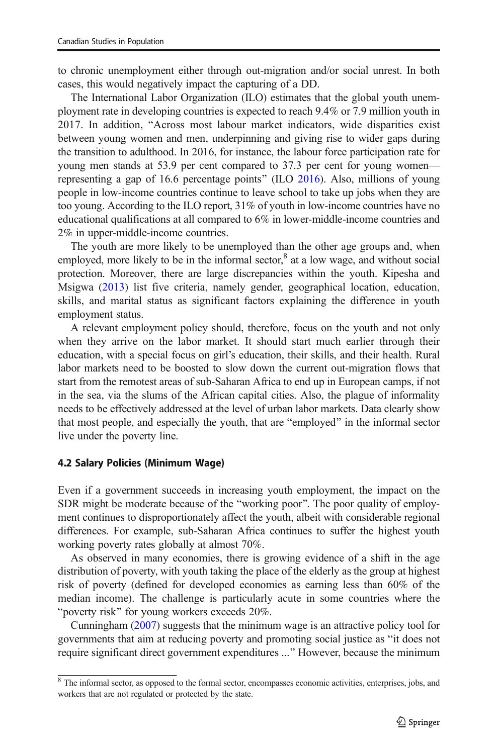to chronic unemployment either through out-migration and/or social unrest. In both cases, this would negatively impact the capturing of a DD.

The International Labor Organization (ILO) estimates that the global youth unemployment rate in developing countries is expected to reach 9.4% or 7.9 million youth in 2017. In addition, "Across most labour market indicators, wide disparities exist between young women and men, underpinning and giving rise to wider gaps during the transition to adulthood. In 2016, for instance, the labour force participation rate for young men stands at 53.9 per cent compared to 37.3 per cent for young women— representing a gap of 16.6 percentage points" (ILO [2016](#page-11-0)). Also, millions of young people in low-income countries continue to leave school to take up jobs when they are too young. According to the ILO report, 31% of youth in low-income countries have no educational qualifications at all compared to 6% in lower-middle-income countries and 2% in upper-middle-income countries.

The youth are more likely to be unemployed than the other age groups and, when employed, more likely to be in the informal sector, $\delta$  at a low wage, and without social protection. Moreover, there are large discrepancies within the youth. Kipesha and Msigwa [\(2013](#page-11-0)) list five criteria, namely gender, geographical location, education, skills, and marital status as significant factors explaining the difference in youth employment status.

A relevant employment policy should, therefore, focus on the youth and not only when they arrive on the labor market. It should start much earlier through their education, with a special focus on girl's education, their skills, and their health. Rural labor markets need to be boosted to slow down the current out-migration flows that start from the remotest areas of sub-Saharan Africa to end up in European camps, if not in the sea, via the slums of the African capital cities. Also, the plague of informality needs to be effectively addressed at the level of urban labor markets. Data clearly show that most people, and especially the youth, that are "employed" in the informal sector live under the poverty line.

## 4.2 Salary Policies (Minimum Wage)

Even if a government succeeds in increasing youth employment, the impact on the SDR might be moderate because of the "working poor". The poor quality of employment continues to disproportionately affect the youth, albeit with considerable regional differences. For example, sub-Saharan Africa continues to suffer the highest youth working poverty rates globally at almost 70%.

As observed in many economies, there is growing evidence of a shift in the age distribution of poverty, with youth taking the place of the elderly as the group at highest risk of poverty (defined for developed economies as earning less than 60% of the median income). The challenge is particularly acute in some countries where the "poverty risk" for young workers exceeds 20%.

Cunningham [\(2007](#page-11-0)) suggests that the minimum wage is an attractive policy tool for governments that aim at reducing poverty and promoting social justice as "it does not require significant direct government expenditures ..." However, because the minimum

<sup>&</sup>lt;sup>8</sup> The informal sector, as opposed to the formal sector, encompasses economic activities, enterprises, jobs, and workers that are not regulated or protected by the state.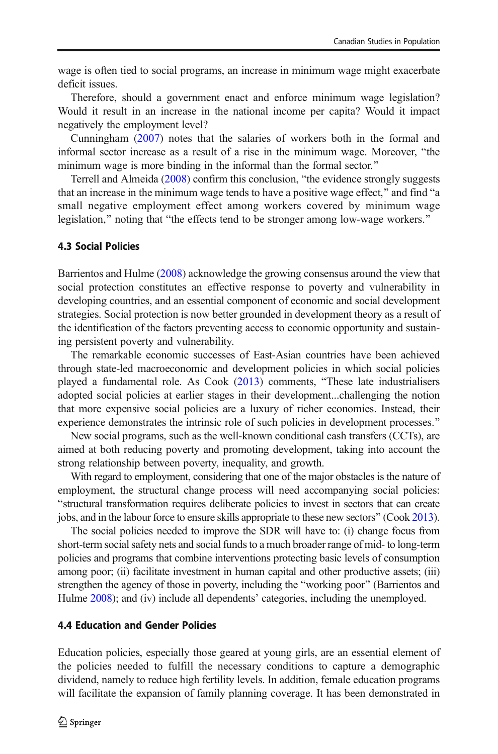wage is often tied to social programs, an increase in minimum wage might exacerbate deficit issues.

Therefore, should a government enact and enforce minimum wage legislation? Would it result in an increase in the national income per capita? Would it impact negatively the employment level?

Cunningham [\(2007](#page-11-0)) notes that the salaries of workers both in the formal and informal sector increase as a result of a rise in the minimum wage. Moreover, "the minimum wage is more binding in the informal than the formal sector.<sup>"</sup>

Terrell and Almeida  $(2008)$  confirm this conclusion, "the evidence strongly suggests that an increase in the minimum wage tends to have a positive wage effect," and find "a small negative employment effect among workers covered by minimum wage legislation," noting that "the effects tend to be stronger among low-wage workers."

## 4.3 Social Policies

Barrientos and Hulme [\(2008\)](#page-10-0) acknowledge the growing consensus around the view that social protection constitutes an effective response to poverty and vulnerability in developing countries, and an essential component of economic and social development strategies. Social protection is now better grounded in development theory as a result of the identification of the factors preventing access to economic opportunity and sustaining persistent poverty and vulnerability.

The remarkable economic successes of East-Asian countries have been achieved through state-led macroeconomic and development policies in which social policies played a fundamental role. As  $Cook$   $(2013)$  $(2013)$  comments, "These late industrialisers adopted social policies at earlier stages in their development...challenging the notion that more expensive social policies are a luxury of richer economies. Instead, their experience demonstrates the intrinsic role of such policies in development processes.<sup>"</sup>

New social programs, such as the well-known conditional cash transfers (CCTs), are aimed at both reducing poverty and promoting development, taking into account the strong relationship between poverty, inequality, and growth.

With regard to employment, considering that one of the major obstacles is the nature of employment, the structural change process will need accompanying social policies: Bstructural transformation requires deliberate policies to invest in sectors that can create jobs, and in the labour force to ensure skills appropriate to these new sectors^ (Cook [2013\)](#page-11-0).

The social policies needed to improve the SDR will have to: (i) change focus from short-term social safety nets and social funds to a much broader range of mid- to long-term policies and programs that combine interventions protecting basic levels of consumption among poor; (ii) facilitate investment in human capital and other productive assets; (iii) strengthen the agency of those in poverty, including the "working poor" (Barrientos and Hulme [2008](#page-10-0)); and (iv) include all dependents' categories, including the unemployed.

#### 4.4 Education and Gender Policies

Education policies, especially those geared at young girls, are an essential element of the policies needed to fulfill the necessary conditions to capture a demographic dividend, namely to reduce high fertility levels. In addition, female education programs will facilitate the expansion of family planning coverage. It has been demonstrated in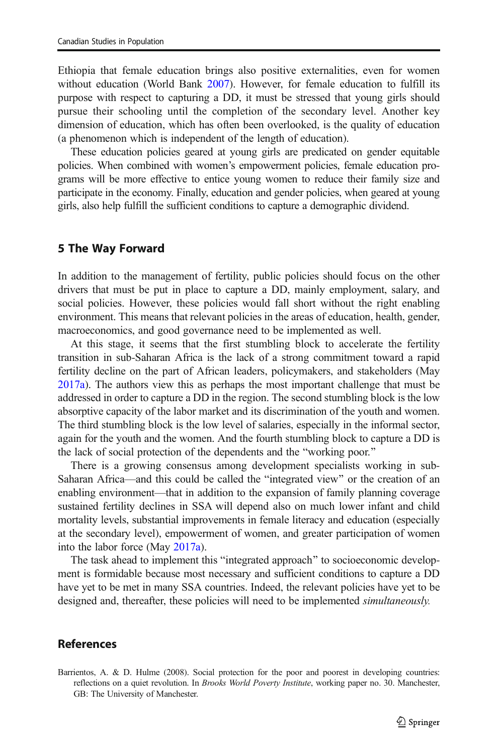<span id="page-10-0"></span>Ethiopia that female education brings also positive externalities, even for women without education (World Bank [2007\)](#page-11-0). However, for female education to fulfill its purpose with respect to capturing a DD, it must be stressed that young girls should pursue their schooling until the completion of the secondary level. Another key dimension of education, which has often been overlooked, is the quality of education (a phenomenon which is independent of the length of education).

These education policies geared at young girls are predicated on gender equitable policies. When combined with women's empowerment policies, female education programs will be more effective to entice young women to reduce their family size and participate in the economy. Finally, education and gender policies, when geared at young girls, also help fulfill the sufficient conditions to capture a demographic dividend.

#### 5 The Way Forward

In addition to the management of fertility, public policies should focus on the other drivers that must be put in place to capture a DD, mainly employment, salary, and social policies. However, these policies would fall short without the right enabling environment. This means that relevant policies in the areas of education, health, gender, macroeconomics, and good governance need to be implemented as well.

At this stage, it seems that the first stumbling block to accelerate the fertility transition in sub-Saharan Africa is the lack of a strong commitment toward a rapid fertility decline on the part of African leaders, policymakers, and stakeholders (May [2017a\)](#page-11-0). The authors view this as perhaps the most important challenge that must be addressed in order to capture a DD in the region. The second stumbling block is the low absorptive capacity of the labor market and its discrimination of the youth and women. The third stumbling block is the low level of salaries, especially in the informal sector, again for the youth and the women. And the fourth stumbling block to capture a DD is the lack of social protection of the dependents and the "working poor."

There is a growing consensus among development specialists working in sub-Saharan Africa—and this could be called the "integrated view" or the creation of an enabling environment—that in addition to the expansion of family planning coverage sustained fertility declines in SSA will depend also on much lower infant and child mortality levels, substantial improvements in female literacy and education (especially at the secondary level), empowerment of women, and greater participation of women into the labor force (May [2017a](#page-11-0)).

The task ahead to implement this "integrated approach" to socioeconomic development is formidable because most necessary and sufficient conditions to capture a DD have yet to be met in many SSA countries. Indeed, the relevant policies have yet to be designed and, thereafter, these policies will need to be implemented *simultaneously*.

#### References

Barrientos, A. & D. Hulme (2008). Social protection for the poor and poorest in developing countries: reflections on a quiet revolution. In Brooks World Poverty Institute, working paper no. 30. Manchester, GB: The University of Manchester.